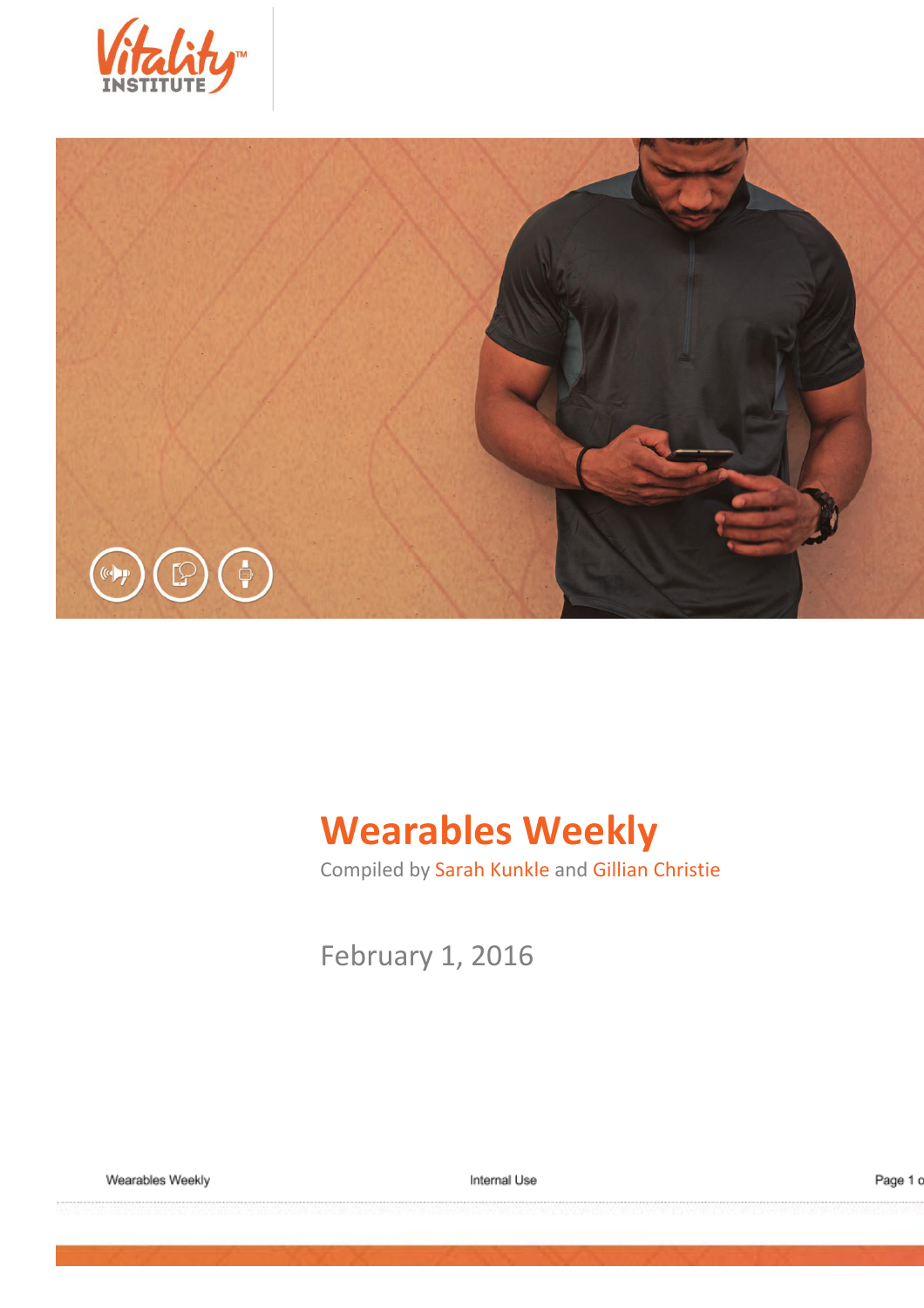



# **Wearables Weekly**

Compiled by Sarah Kunkle and Gillian Christie

February 1, 2016

Wearables Weekly

Internal Use

Page 1 c